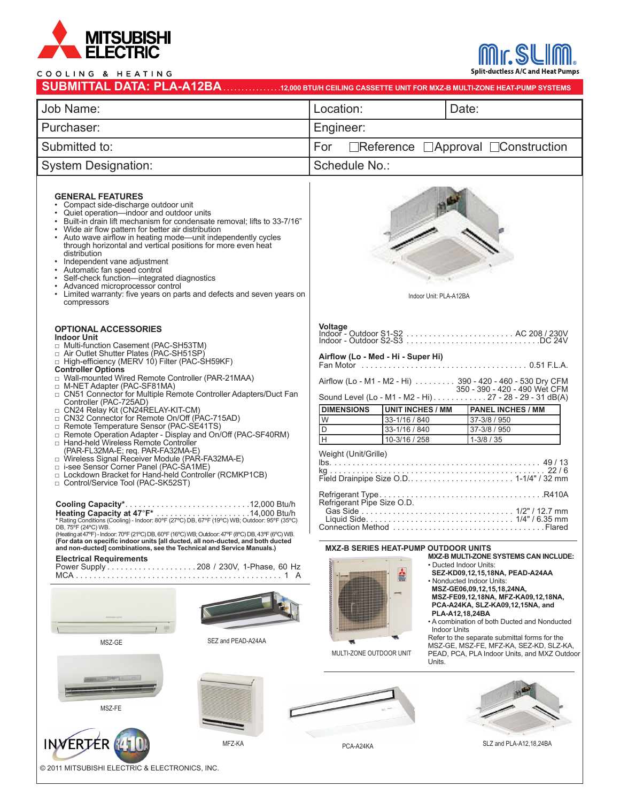

## $0 \quad \text{H} \in \Lambda \text{TIME}$  $\frac{1}{2}$

Split-ductless A/C and Heat Pumps

| COOLING & HEAIING                                                                                                                                                                                                                                                                                                                                                                                                                                                                                                                                                                                                                                                                                                                                                                                                                                                                                                                                                                                                                                                                                                                                                                                                                                                                                                                             |                                                                                                                                                                                                                                                                                                                                                                                                                                                                                                                                                                                                                                                                                                                                                                                                                                                                   |
|-----------------------------------------------------------------------------------------------------------------------------------------------------------------------------------------------------------------------------------------------------------------------------------------------------------------------------------------------------------------------------------------------------------------------------------------------------------------------------------------------------------------------------------------------------------------------------------------------------------------------------------------------------------------------------------------------------------------------------------------------------------------------------------------------------------------------------------------------------------------------------------------------------------------------------------------------------------------------------------------------------------------------------------------------------------------------------------------------------------------------------------------------------------------------------------------------------------------------------------------------------------------------------------------------------------------------------------------------|-------------------------------------------------------------------------------------------------------------------------------------------------------------------------------------------------------------------------------------------------------------------------------------------------------------------------------------------------------------------------------------------------------------------------------------------------------------------------------------------------------------------------------------------------------------------------------------------------------------------------------------------------------------------------------------------------------------------------------------------------------------------------------------------------------------------------------------------------------------------|
| Job Name:                                                                                                                                                                                                                                                                                                                                                                                                                                                                                                                                                                                                                                                                                                                                                                                                                                                                                                                                                                                                                                                                                                                                                                                                                                                                                                                                     | Location:<br>Date:                                                                                                                                                                                                                                                                                                                                                                                                                                                                                                                                                                                                                                                                                                                                                                                                                                                |
| Purchaser:                                                                                                                                                                                                                                                                                                                                                                                                                                                                                                                                                                                                                                                                                                                                                                                                                                                                                                                                                                                                                                                                                                                                                                                                                                                                                                                                    | Engineer:                                                                                                                                                                                                                                                                                                                                                                                                                                                                                                                                                                                                                                                                                                                                                                                                                                                         |
| Submitted to:                                                                                                                                                                                                                                                                                                                                                                                                                                                                                                                                                                                                                                                                                                                                                                                                                                                                                                                                                                                                                                                                                                                                                                                                                                                                                                                                 | □Reference □Approval □Construction<br>For                                                                                                                                                                                                                                                                                                                                                                                                                                                                                                                                                                                                                                                                                                                                                                                                                         |
| <b>System Designation:</b>                                                                                                                                                                                                                                                                                                                                                                                                                                                                                                                                                                                                                                                                                                                                                                                                                                                                                                                                                                                                                                                                                                                                                                                                                                                                                                                    | Schedule No.:                                                                                                                                                                                                                                                                                                                                                                                                                                                                                                                                                                                                                                                                                                                                                                                                                                                     |
| <b>GENERAL FEATURES</b><br>Compact side-discharge outdoor unit<br>Quiet operation—indoor and outdoor units<br>Built-in drain lift mechanism for condensate removal; lifts to 33-7/16"<br>Wide air flow pattern for better air distribution<br>• Auto wave airflow in heating mode-unit independently cycles<br>through horizontal and vertical positions for more even heat<br>distribution<br>Independent vane adjustment<br>Automatic fan speed control<br>Self-check function-integrated diagnostics<br>Advanced microprocessor control<br>Limited warranty: five years on parts and defects and seven years on<br>compressors                                                                                                                                                                                                                                                                                                                                                                                                                                                                                                                                                                                                                                                                                                             | Indoor Unit: PLA-A12BA                                                                                                                                                                                                                                                                                                                                                                                                                                                                                                                                                                                                                                                                                                                                                                                                                                            |
| <b>OPTIONAL ACCESSORIES</b><br><b>Indoor Unit</b><br>Multi-function Casement (PAC-SH53TM)<br>Air Outlet Shutter Plates (PAC-SH51SP)<br>□ High-efficiency (MERV 10) Filter (PAC-SH59KF)<br><b>Controller Options</b><br>□ Wall-mounted Wired Remote Controller (PAR-21MAA)<br>M-NET Adapter (PAC-SF81MA)<br>□ CN51 Connector for Multiple Remote Controller Adapters/Duct Fan<br>Controller (PAC-725AD)<br>□ CN24 Relay Kit (CN24RELAY-KIT-CM)<br>□ CN32 Connector for Remote On/Off (PAC-715AD)<br>Remote Temperature Sensor (PAC-SE41TS)<br>□ Remote Operation Adapter - Display and On/Off (PAC-SF40RM)<br>□ Hand-held Wireless Remote Controller<br>(PAR-FL32MA-E; req. PAR-FA32MA-E)<br>U Wireless Signal Receiver Module (PAR-FA32MA-E)<br>□ i-see Sensor Corner Panel (PAC-SA1ME)<br>D Lockdown Bracket for Hand-held Controller (RCMKP1CB)<br>Control/Service Tool (PAC-SK52ST)<br>Heating Capacity at 47°F*<br>*Rating Conditions (Cooling) - Indoor: 80°F (27°C) DB, 67°F (19°C) WB; Outdoor: 95°F (35°C)<br>DB, 75°F (24°C) WB.<br>(Heating at 47°F) - Indoor: 70°F (21°C) DB, 60°F (16°C) WB; Outdoor: 47°F (8°C) DB, 43°F (6°C) WB.<br>(For data on specific indoor units [all ducted, all non-ducted, and both ducted<br>and non-ducted] combinations, see the Technical and Service Manuals.)<br><b>Electrical Requirements</b> | <b>Voltage</b><br>Airflow (Lo - Med - Hi - Super Hi)<br>Airflow (Lo - M1 - M2 - Hi) 390 - 420 - 460 - 530 Dry CFM<br>350 - 390 - 420 - 490 Wet CFM<br>Sound Level (Lo - M1 - M2 - Hi) 27 - 28 - 29 - 31 dB(A)<br><b>DIMENSIONS</b><br><b>UNIT INCHES / MM</b><br><b>PANEL INCHES / MM</b><br> W<br>33-1/16 / 840<br>37-3/8 / 950<br>D<br>33-1/16 / 840<br>37-3/8 / 950<br>Iн<br>10-3/16 / 258<br>$1 - 3/8 / 35$<br>Weight (Unit/Grille)<br>Refrigerant Pipe Size O.D.<br><b>MXZ-B SERIES HEAT-PUMP OUTDOOR UNITS</b><br><b>MXZ-B MULTI-ZONE SYSTEMS CAN INCLUDE:</b><br>• Ducted Indoor Units:<br>SEZ-KD09,12,15,18NA, PEAD-A24AA<br>• Nonducted Indoor Units:<br>MSZ-GE06,09,12,15,18,24NA,<br>MSZ-FE09,12,18NA, MFZ-KA09,12,18NA,<br>PCA-A24KA, SLZ-KA09,12,15NA, and<br>PLA-A12,18,24BA<br>• A combination of both Ducted and Nonducted<br><b>Indoor Units</b> |
| SEZ and PEAD-A24AA<br>MSZ-GE<br>$F = T$<br>MSZ-FE                                                                                                                                                                                                                                                                                                                                                                                                                                                                                                                                                                                                                                                                                                                                                                                                                                                                                                                                                                                                                                                                                                                                                                                                                                                                                             | Refer to the separate submittal forms for the<br>MSZ-GE, MSZ-FE, MFZ-KA, SEZ-KD, SLZ-KA,<br>MULTI-ZONE OUTDOOR UNIT<br>PEAD, PCA, PLA Indoor Units, and MXZ Outdoor<br>Units.                                                                                                                                                                                                                                                                                                                                                                                                                                                                                                                                                                                                                                                                                     |
| <b>INVERTER</b><br>MFZ-KA<br>© 2011 MITSUBISHI ELECTRIC & ELECTRONICS, INC.                                                                                                                                                                                                                                                                                                                                                                                                                                                                                                                                                                                                                                                                                                                                                                                                                                                                                                                                                                                                                                                                                                                                                                                                                                                                   | SLZ and PLA-A12,18,24BA<br>PCA-A24KA                                                                                                                                                                                                                                                                                                                                                                                                                                                                                                                                                                                                                                                                                                                                                                                                                              |